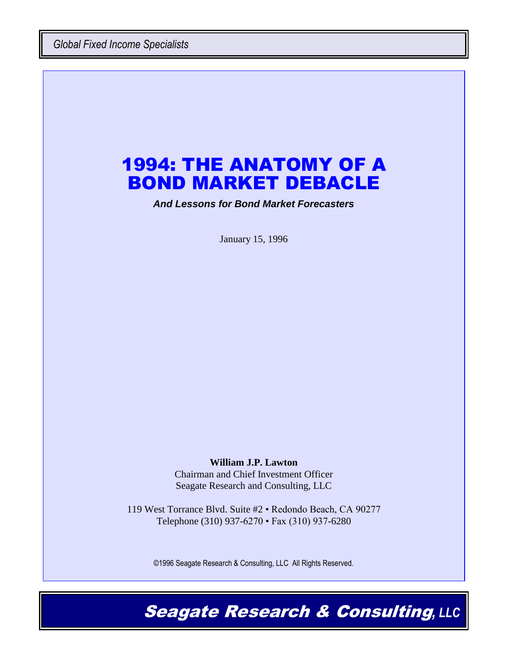*Global Fixed Income Specialists*

# 1994: THE ANATOMY OF A BOND MARKET DEBACLE

*And Lessons for Bond Market Forecasters*

January 15, 1996

#### **William J.P. Lawton**

Chairman and Chief Investment Officer Seagate Research and Consulting, LLC

119 West Torrance Blvd. Suite #2 • Redondo Beach, CA 90277 Telephone (310) 937-6270 • Fax (310) 937-6280

©1996 Seagate Research & Consulting, LLC All Rights Reserved.

Seagate Research & Consulting*, LLC*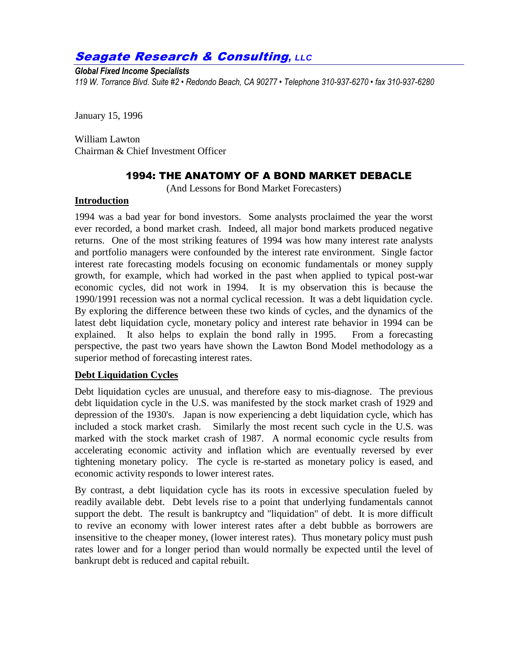## Seagate Research & Consulting*, LLC*

#### *Global Fixed Income Specialists*

*119 W. Torrance Blvd. Suite #2 • Redondo Beach, CA 90277 • Telephone 310-937-6270 • fax 310-937-6280*

January 15, 1996

William Lawton Chairman & Chief Investment Officer

## 1994: THE ANATOMY OF A BOND MARKET DEBACLE

(And Lessons for Bond Market Forecasters)

#### **Introduction**

1994 was a bad year for bond investors. Some analysts proclaimed the year the worst ever recorded, a bond market crash. Indeed, all major bond markets produced negative returns. One of the most striking features of 1994 was how many interest rate analysts and portfolio managers were confounded by the interest rate environment. Single factor interest rate forecasting models focusing on economic fundamentals or money supply growth, for example, which had worked in the past when applied to typical post-war economic cycles, did not work in 1994. It is my observation this is because the 1990/1991 recession was not a normal cyclical recession. It was a debt liquidation cycle. By exploring the difference between these two kinds of cycles, and the dynamics of the latest debt liquidation cycle, monetary policy and interest rate behavior in 1994 can be explained. It also helps to explain the bond rally in 1995. From a forecasting perspective, the past two years have shown the Lawton Bond Model methodology as a superior method of forecasting interest rates.

#### **Debt Liquidation Cycles**

Debt liquidation cycles are unusual, and therefore easy to mis-diagnose. The previous debt liquidation cycle in the U.S. was manifested by the stock market crash of 1929 and depression of the 1930's. Japan is now experiencing a debt liquidation cycle, which has included a stock market crash. Similarly the most recent such cycle in the U.S. was marked with the stock market crash of 1987. A normal economic cycle results from accelerating economic activity and inflation which are eventually reversed by ever tightening monetary policy. The cycle is re-started as monetary policy is eased, and economic activity responds to lower interest rates.

By contrast, a debt liquidation cycle has its roots in excessive speculation fueled by readily available debt. Debt levels rise to a point that underlying fundamentals cannot support the debt. The result is bankruptcy and "liquidation" of debt. It is more difficult to revive an economy with lower interest rates after a debt bubble as borrowers are insensitive to the cheaper money, (lower interest rates). Thus monetary policy must push rates lower and for a longer period than would normally be expected until the level of bankrupt debt is reduced and capital rebuilt.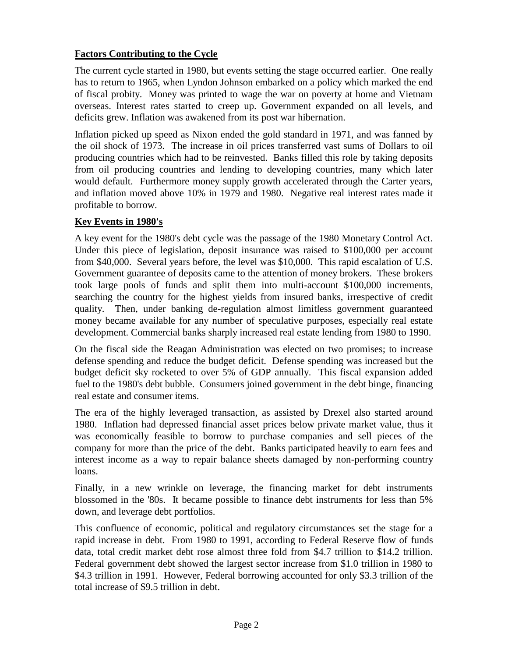## **Factors Contributing to the Cycle**

The current cycle started in 1980, but events setting the stage occurred earlier. One really has to return to 1965, when Lyndon Johnson embarked on a policy which marked the end of fiscal probity. Money was printed to wage the war on poverty at home and Vietnam overseas. Interest rates started to creep up. Government expanded on all levels, and deficits grew. Inflation was awakened from its post war hibernation.

Inflation picked up speed as Nixon ended the gold standard in 1971, and was fanned by the oil shock of 1973. The increase in oil prices transferred vast sums of Dollars to oil producing countries which had to be reinvested. Banks filled this role by taking deposits from oil producing countries and lending to developing countries, many which later would default. Furthermore money supply growth accelerated through the Carter years, and inflation moved above 10% in 1979 and 1980. Negative real interest rates made it profitable to borrow.

## **Key Events in 1980's**

A key event for the 1980's debt cycle was the passage of the 1980 Monetary Control Act. Under this piece of legislation, deposit insurance was raised to \$100,000 per account from \$40,000. Several years before, the level was \$10,000. This rapid escalation of U.S. Government guarantee of deposits came to the attention of money brokers. These brokers took large pools of funds and split them into multi-account \$100,000 increments, searching the country for the highest yields from insured banks, irrespective of credit quality. Then, under banking de-regulation almost limitless government guaranteed money became available for any number of speculative purposes, especially real estate development. Commercial banks sharply increased real estate lending from 1980 to 1990.

On the fiscal side the Reagan Administration was elected on two promises; to increase defense spending and reduce the budget deficit. Defense spending was increased but the budget deficit sky rocketed to over 5% of GDP annually. This fiscal expansion added fuel to the 1980's debt bubble. Consumers joined government in the debt binge, financing real estate and consumer items.

The era of the highly leveraged transaction, as assisted by Drexel also started around 1980. Inflation had depressed financial asset prices below private market value, thus it was economically feasible to borrow to purchase companies and sell pieces of the company for more than the price of the debt. Banks participated heavily to earn fees and interest income as a way to repair balance sheets damaged by non-performing country loans.

Finally, in a new wrinkle on leverage, the financing market for debt instruments blossomed in the '80s. It became possible to finance debt instruments for less than 5% down, and leverage debt portfolios.

This confluence of economic, political and regulatory circumstances set the stage for a rapid increase in debt. From 1980 to 1991, according to Federal Reserve flow of funds data, total credit market debt rose almost three fold from \$4.7 trillion to \$14.2 trillion. Federal government debt showed the largest sector increase from \$1.0 trillion in 1980 to \$4.3 trillion in 1991. However, Federal borrowing accounted for only \$3.3 trillion of the total increase of \$9.5 trillion in debt.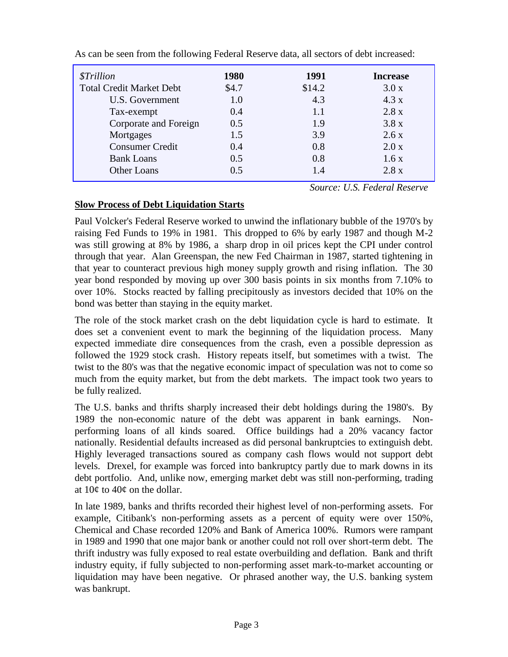| <i><b>\$Trillion</b></i>        | 1980  | 1991   | <b>Increase</b> |
|---------------------------------|-------|--------|-----------------|
| <b>Total Credit Market Debt</b> | \$4.7 | \$14.2 | 3.0x            |
| U.S. Government                 | 1.0   | 4.3    | 4.3 x           |
| Tax-exempt                      | 0.4   | 1.1    | 2.8 x           |
| Corporate and Foreign           | 0.5   | 1.9    | 3.8x            |
| Mortgages                       | 1.5   | 3.9    | 2.6x            |
| <b>Consumer Credit</b>          | 0.4   | 0.8    | 2.0 x           |
| <b>Bank Loans</b>               | 0.5   | 0.8    | 1.6x            |
| Other Loans                     | 0.5   | 1.4    | 2.8 x           |

As can be seen from the following Federal Reserve data, all sectors of debt increased:

*Source: U.S. Federal Reserve*

## **Slow Process of Debt Liquidation Starts**

Paul Volcker's Federal Reserve worked to unwind the inflationary bubble of the 1970's by raising Fed Funds to 19% in 1981. This dropped to 6% by early 1987 and though M-2 was still growing at 8% by 1986, a sharp drop in oil prices kept the CPI under control through that year. Alan Greenspan, the new Fed Chairman in 1987, started tightening in that year to counteract previous high money supply growth and rising inflation. The 30 year bond responded by moving up over 300 basis points in six months from 7.10% to over 10%. Stocks reacted by falling precipitously as investors decided that 10% on the bond was better than staying in the equity market.

The role of the stock market crash on the debt liquidation cycle is hard to estimate. It does set a convenient event to mark the beginning of the liquidation process. Many expected immediate dire consequences from the crash, even a possible depression as followed the 1929 stock crash. History repeats itself, but sometimes with a twist. The twist to the 80's was that the negative economic impact of speculation was not to come so much from the equity market, but from the debt markets. The impact took two years to be fully realized.

The U.S. banks and thrifts sharply increased their debt holdings during the 1980's. By 1989 the non-economic nature of the debt was apparent in bank earnings. Nonperforming loans of all kinds soared. Office buildings had a 20% vacancy factor nationally. Residential defaults increased as did personal bankruptcies to extinguish debt. Highly leveraged transactions soured as company cash flows would not support debt levels. Drexel, for example was forced into bankruptcy partly due to mark downs in its debt portfolio. And, unlike now, emerging market debt was still non-performing, trading at 10¢ to 40¢ on the dollar.

In late 1989, banks and thrifts recorded their highest level of non-performing assets. For example, Citibank's non-performing assets as a percent of equity were over 150%, Chemical and Chase recorded 120% and Bank of America 100%. Rumors were rampant in 1989 and 1990 that one major bank or another could not roll over short-term debt. The thrift industry was fully exposed to real estate overbuilding and deflation. Bank and thrift industry equity, if fully subjected to non-performing asset mark-to-market accounting or liquidation may have been negative. Or phrased another way, the U.S. banking system was bankrupt.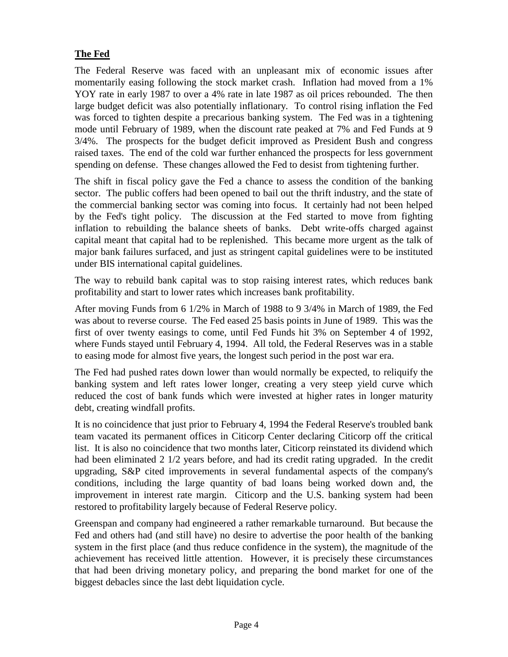## **The Fed**

The Federal Reserve was faced with an unpleasant mix of economic issues after momentarily easing following the stock market crash. Inflation had moved from a 1% YOY rate in early 1987 to over a 4% rate in late 1987 as oil prices rebounded. The then large budget deficit was also potentially inflationary. To control rising inflation the Fed was forced to tighten despite a precarious banking system. The Fed was in a tightening mode until February of 1989, when the discount rate peaked at 7% and Fed Funds at 9 3/4%. The prospects for the budget deficit improved as President Bush and congress raised taxes. The end of the cold war further enhanced the prospects for less government spending on defense. These changes allowed the Fed to desist from tightening further.

The shift in fiscal policy gave the Fed a chance to assess the condition of the banking sector. The public coffers had been opened to bail out the thrift industry, and the state of the commercial banking sector was coming into focus. It certainly had not been helped by the Fed's tight policy. The discussion at the Fed started to move from fighting inflation to rebuilding the balance sheets of banks. Debt write-offs charged against capital meant that capital had to be replenished. This became more urgent as the talk of major bank failures surfaced, and just as stringent capital guidelines were to be instituted under BIS international capital guidelines.

The way to rebuild bank capital was to stop raising interest rates, which reduces bank profitability and start to lower rates which increases bank profitability.

After moving Funds from 6 1/2% in March of 1988 to 9 3/4% in March of 1989, the Fed was about to reverse course. The Fed eased 25 basis points in June of 1989. This was the first of over twenty easings to come, until Fed Funds hit 3% on September 4 of 1992, where Funds stayed until February 4, 1994. All told, the Federal Reserves was in a stable to easing mode for almost five years, the longest such period in the post war era.

The Fed had pushed rates down lower than would normally be expected, to reliquify the banking system and left rates lower longer, creating a very steep yield curve which reduced the cost of bank funds which were invested at higher rates in longer maturity debt, creating windfall profits.

It is no coincidence that just prior to February 4, 1994 the Federal Reserve's troubled bank team vacated its permanent offices in Citicorp Center declaring Citicorp off the critical list. It is also no coincidence that two months later, Citicorp reinstated its dividend which had been eliminated 2 1/2 years before, and had its credit rating upgraded. In the credit upgrading, S&P cited improvements in several fundamental aspects of the company's conditions, including the large quantity of bad loans being worked down and, the improvement in interest rate margin. Citicorp and the U.S. banking system had been restored to profitability largely because of Federal Reserve policy.

Greenspan and company had engineered a rather remarkable turnaround. But because the Fed and others had (and still have) no desire to advertise the poor health of the banking system in the first place (and thus reduce confidence in the system), the magnitude of the achievement has received little attention. However, it is precisely these circumstances that had been driving monetary policy, and preparing the bond market for one of the biggest debacles since the last debt liquidation cycle.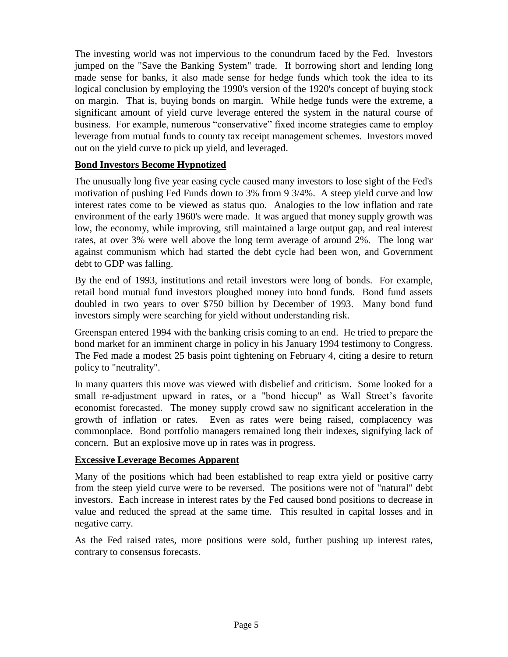The investing world was not impervious to the conundrum faced by the Fed. Investors jumped on the "Save the Banking System" trade. If borrowing short and lending long made sense for banks, it also made sense for hedge funds which took the idea to its logical conclusion by employing the 1990's version of the 1920's concept of buying stock on margin. That is, buying bonds on margin. While hedge funds were the extreme, a significant amount of yield curve leverage entered the system in the natural course of business. For example, numerous "conservative" fixed income strategies came to employ leverage from mutual funds to county tax receipt management schemes. Investors moved out on the yield curve to pick up yield, and leveraged.

#### **Bond Investors Become Hypnotized**

The unusually long five year easing cycle caused many investors to lose sight of the Fed's motivation of pushing Fed Funds down to 3% from 9 3/4%. A steep yield curve and low interest rates come to be viewed as status quo. Analogies to the low inflation and rate environment of the early 1960's were made. It was argued that money supply growth was low, the economy, while improving, still maintained a large output gap, and real interest rates, at over 3% were well above the long term average of around 2%. The long war against communism which had started the debt cycle had been won, and Government debt to GDP was falling.

By the end of 1993, institutions and retail investors were long of bonds. For example, retail bond mutual fund investors ploughed money into bond funds. Bond fund assets doubled in two years to over \$750 billion by December of 1993. Many bond fund investors simply were searching for yield without understanding risk.

Greenspan entered 1994 with the banking crisis coming to an end. He tried to prepare the bond market for an imminent charge in policy in his January 1994 testimony to Congress. The Fed made a modest 25 basis point tightening on February 4, citing a desire to return policy to "neutrality".

In many quarters this move was viewed with disbelief and criticism. Some looked for a small re-adjustment upward in rates, or a "bond hiccup" as Wall Street's favorite economist forecasted. The money supply crowd saw no significant acceleration in the growth of inflation or rates. Even as rates were being raised, complacency was commonplace. Bond portfolio managers remained long their indexes, signifying lack of concern. But an explosive move up in rates was in progress.

#### **Excessive Leverage Becomes Apparent**

Many of the positions which had been established to reap extra yield or positive carry from the steep yield curve were to be reversed. The positions were not of "natural" debt investors. Each increase in interest rates by the Fed caused bond positions to decrease in value and reduced the spread at the same time. This resulted in capital losses and in negative carry.

As the Fed raised rates, more positions were sold, further pushing up interest rates, contrary to consensus forecasts.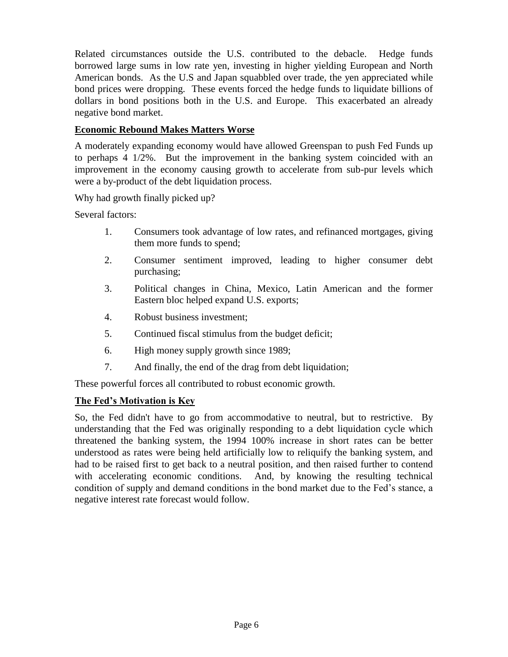Related circumstances outside the U.S. contributed to the debacle. Hedge funds borrowed large sums in low rate yen, investing in higher yielding European and North American bonds. As the U.S and Japan squabbled over trade, the yen appreciated while bond prices were dropping. These events forced the hedge funds to liquidate billions of dollars in bond positions both in the U.S. and Europe. This exacerbated an already negative bond market.

#### **Economic Rebound Makes Matters Worse**

A moderately expanding economy would have allowed Greenspan to push Fed Funds up to perhaps 4 1/2%. But the improvement in the banking system coincided with an improvement in the economy causing growth to accelerate from sub-pur levels which were a by-product of the debt liquidation process.

Why had growth finally picked up?

Several factors:

- 1. Consumers took advantage of low rates, and refinanced mortgages, giving them more funds to spend;
- 2. Consumer sentiment improved, leading to higher consumer debt purchasing;
- 3. Political changes in China, Mexico, Latin American and the former Eastern bloc helped expand U.S. exports;
- 4. Robust business investment;
- 5. Continued fiscal stimulus from the budget deficit;
- 6. High money supply growth since 1989;
- 7. And finally, the end of the drag from debt liquidation;

These powerful forces all contributed to robust economic growth.

## **The Fed's Motivation is Key**

So, the Fed didn't have to go from accommodative to neutral, but to restrictive. By understanding that the Fed was originally responding to a debt liquidation cycle which threatened the banking system, the 1994 100% increase in short rates can be better understood as rates were being held artificially low to reliquify the banking system, and had to be raised first to get back to a neutral position, and then raised further to contend with accelerating economic conditions. And, by knowing the resulting technical condition of supply and demand conditions in the bond market due to the Fed's stance, a negative interest rate forecast would follow.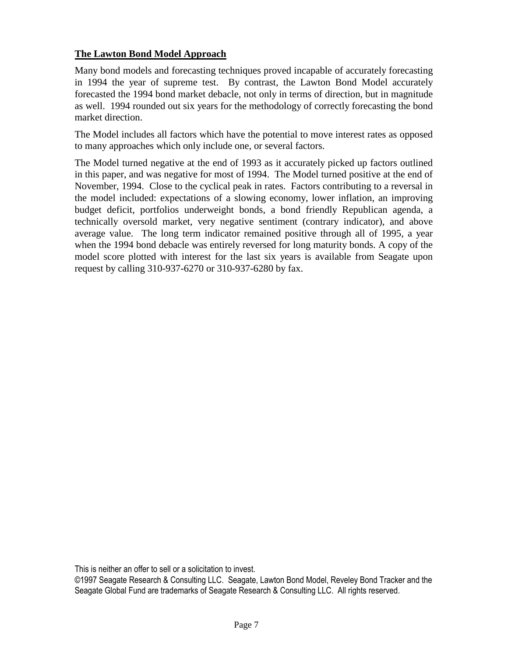#### **The Lawton Bond Model Approach**

Many bond models and forecasting techniques proved incapable of accurately forecasting in 1994 the year of supreme test. By contrast, the Lawton Bond Model accurately forecasted the 1994 bond market debacle, not only in terms of direction, but in magnitude as well. 1994 rounded out six years for the methodology of correctly forecasting the bond market direction.

The Model includes all factors which have the potential to move interest rates as opposed to many approaches which only include one, or several factors.

The Model turned negative at the end of 1993 as it accurately picked up factors outlined in this paper, and was negative for most of 1994. The Model turned positive at the end of November, 1994. Close to the cyclical peak in rates. Factors contributing to a reversal in the model included: expectations of a slowing economy, lower inflation, an improving budget deficit, portfolios underweight bonds, a bond friendly Republican agenda, a technically oversold market, very negative sentiment (contrary indicator), and above average value. The long term indicator remained positive through all of 1995, a year when the 1994 bond debacle was entirely reversed for long maturity bonds. A copy of the model score plotted with interest for the last six years is available from Seagate upon request by calling 310-937-6270 or 310-937-6280 by fax.

This is neither an offer to sell or a solicitation to invest.

©1997 Seagate Research & Consulting LLC. Seagate, Lawton Bond Model, Reveley Bond Tracker and the Seagate Global Fund are trademarks of Seagate Research & Consulting LLC. All rights reserved.